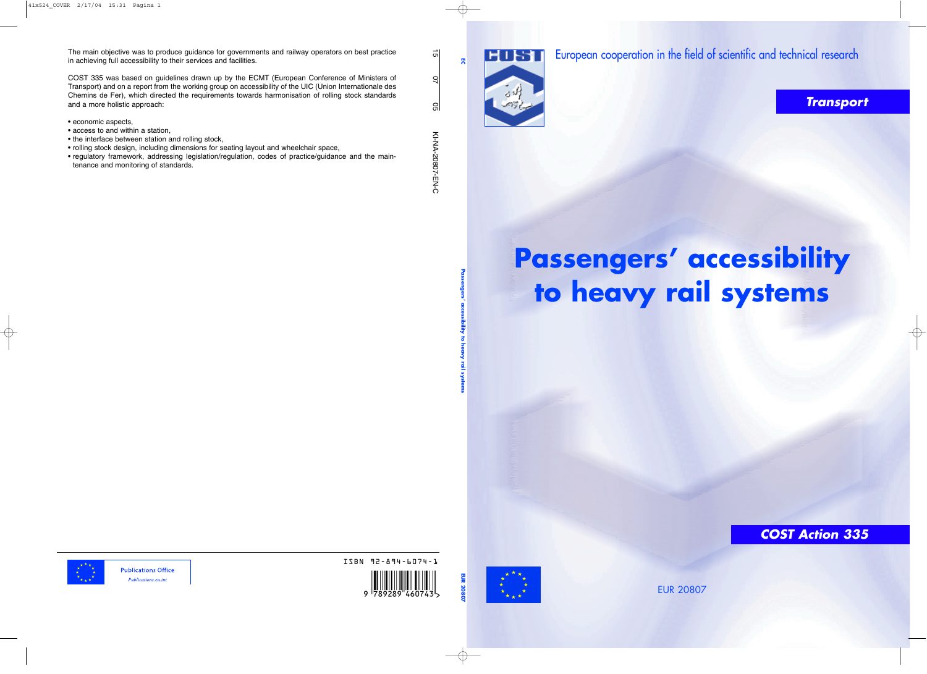The main objective was to produce guidance for governments and railway operators on best practice in achieving full accessibility to their services and facilities.

COST 335 was based on guidelines drawn up by the ECMT (European Conference of Ministers of Transport) and on a report from the working group on accessibility of the UIC (Union Internationale des Chemins de Fer), which directed the requirements towards harmonisation of rolling stock standards and a more holistic approach:

- economic aspects,
- access to and within a station,
- the interface between station and rolling stock,
- rolling stock design, including dimensions for seating layout and wheelchair space,
- regulatory framework, addressing legislation/regulation, codes of practice/guidance and the maintenance and monitoring of standards.

15

KI-NA-20807-EN-C

KI-NA-20807-EN-C



ISBN 92-894-6074-1

,!7IJ2I9-egahed! >

EUR 20807

## **COST Action 335**



European cooperation in the field of scientific and technical research

## **Transport**

# **Passengers' accessibility to heavy rail systems**

**Passengers' accessibility to heavy rail systems**



**EUR 20807**

**Publications Office** Publications.eu.int